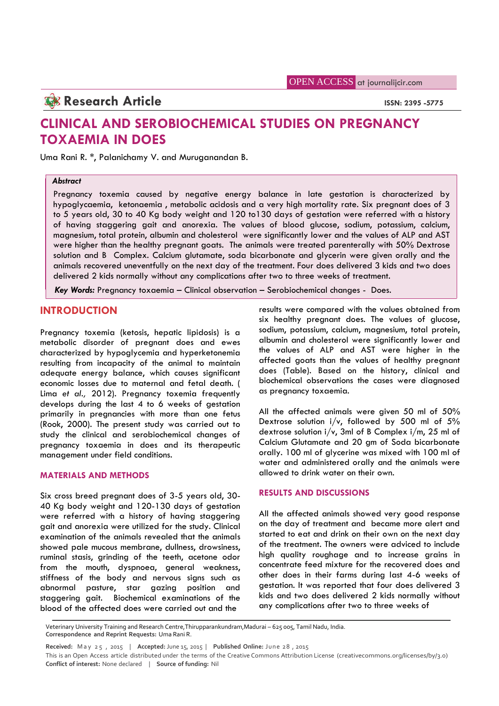**OPEN ACCESS** at journalijcir.com

**Research Article ISSN: 2395 -5775** 

# **CLINICAL AND SEROBIOCHEMICAL STUDIES ON PREGNANCY TOXAEMIA IN DOES**

Uma Rani R. \*, Palanichamy V. and Muruganandan B.

## *Abstract*

Pregnancy toxemia caused by negative energy balance in late gestation is characterized by hypoglycaemia, ketonaemia , metabolic acidosis and a very high mortality rate. Six pregnant does of 3 to 5 years old, 30 to 40 Kg body weight and 120 to130 days of gestation were referred with a history of having staggering gait and anorexia. The values of blood glucose, sodium, potassium, calcium, magnesium, total protein, albumin and cholesterol were significantly lower and the values of ALP and AST were higher than the healthy pregnant goats. The animals were treated parenterally with 50% Dextrose solution and B Complex. Calcium glutamate, soda bicarbonate and glycerin were given orally and the animals recovered uneventfully on the next day of the treatment. Four does delivered 3 kids and two does delivered 2 kids normally without any complications after two to three weeks of treatment.

*Key Words:* Pregnancy toxaemia – Clinical observation – Serobiochemical changes - Does.

# **INTRODUCTION**

Pregnancy toxemia (ketosis, hepatic lipidosis) is a metabolic disorder of pregnant does and ewes characterized by hypoglycemia and hyperketonemia resulting from incapacity of the animal to maintain adequate energy balance, which causes significant economic losses due to maternal and fetal death. ( Lima *et al.,* 2012). Pregnancy toxemia frequently develops during the last 4 to 6 weeks of gestation primarily in pregnancies with more than one fetus (Rook, 2000). The present study was carried out to study the clinical and serobiochemical changes of pregnancy toxaemia in does and its therapeutic management under field conditions.

### **MATERIALS AND METHODS**

Six cross breed pregnant does of 3-5 years old, 30- 40 Kg body weight and 120-130 days of gestation were referred with a history of having staggering gait and anorexia were utilized for the study. Clinical examination of the animals revealed that the animals showed pale mucous membrane, dullness, drowsiness, ruminal stasis, grinding of the teeth, acetone odor from the mouth, dyspnoea, general weakness, stiffness of the body and nervous signs such as abnormal pasture, star gazing position and staggering gait. Biochemical examinations of the blood of the affected does were carried out and the

results were compared with the values obtained from six healthy pregnant does. The values of glucose, sodium, potassium, calcium, magnesium, total protein, albumin and cholesterol were significantly lower and the values of ALP and AST were higher in the affected goats than the values of healthy pregnant does (Table). Based on the history, clinical and biochemical observations the cases were diagnosed as pregnancy toxaemia.

All the affected animals were given 50 ml of 50% Dextrose solution  $i/v$ , followed by 500 ml of 5% dextrose solution i/v, 3ml of B Complex i/m, 25 ml of Calcium Glutamate and 20 gm of Soda bicarbonate orally. 100 ml of glycerine was mixed with 100 ml of water and administered orally and the animals were allowed to drink water on their own.

# **RESULTS AND DISCUSSIONS**

All the affected animals showed very good response on the day of treatment and became more alert and started to eat and drink on their own on the next day of the treatment. The owners were adviced to include high quality roughage and to increase grains in concentrate feed mixture for the recovered does and other does in their farms during last 4-6 weeks of gestation. It was reported that four does delivered 3 kids and two does delivered 2 kids normally without any complications after two to three weeks of

Veterinary University Training and Research Centre,Thirupparankundram,Madurai – 625 005, Tamil Nadu, India. **Correspondence and Reprint Requests:** Uma Rani R. lood of the affected does were carried out and the<br>Veterinary University Training and Research Centre,Thirupparankundram,Madurai – 625 005, Tamil Nadu, India.<br>Correspondence and Reprint Requests: Uma Rani R.<br>Received: May

**Conflict of interest:** None declared | **Source of funding:** Nil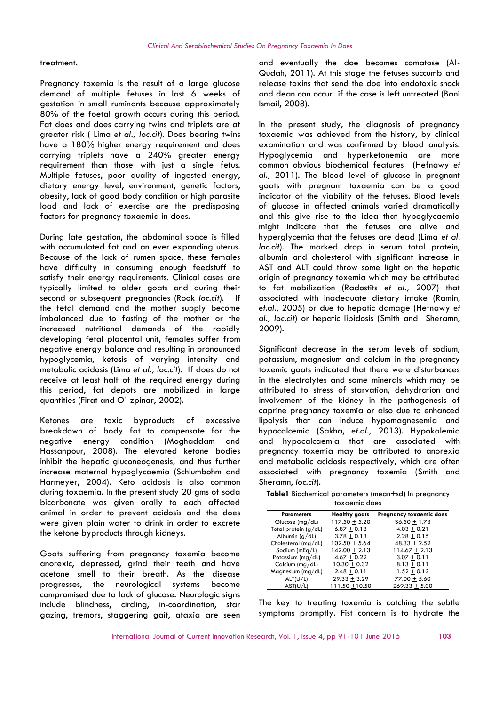#### treatment.

Pregnancy toxemia is the result of a large glucose demand of multiple fetuses in last 6 weeks of gestation in small ruminants because approximately 80% of the foetal growth occurs during this period. Fat does and does carrying twins and triplets are at greater risk ( Lima *et al., loc.cit*). Does bearing twins have a 180% higher energy requirement and does carrying triplets have a 240% greater energy requirement than those with just a single fetus. Multiple fetuses, poor quality of ingested energy, dietary energy level, environment, genetic factors, obesity, lack of good body condition or high parasite load and lack of exercise are the predisposing factors for pregnancy toxaemia in does.

During late gestation, the abdominal space is filled with accumulated fat and an ever expanding uterus. Because of the lack of rumen space, these females have difficulty in consuming enough feedstuff to satisfy their energy requirements. Clinical cases are typically limited to older goats and during their second or subsequent pregnancies (Rook *loc.cit*). If the fetal demand and the mother supply become imbalanced due to fasting of the mother or the increased nutritional demands of the rapidly developing fetal placental unit, females suffer from negative energy balance and resulting in pronounced hypoglycemia, ketosis of varying intensity and metabolic acidosis (Lima *et al., loc.cit*). If does do not receive at least half of the required energy during this period, fat depots are mobilized in large quantities (Firat and O¨ zpinar, 2002).

Ketones are toxic byproducts of excessive breakdown of body fat to compensate for the negative energy condition (Moghaddam and Hassanpour, 2008). The elevated ketone bodies inhibit the hepatic gluconeogenesis, and thus further increase maternal hypoglycaemia (Schlumbohm and Harmeyer, 2004). Keto acidosis is also common during toxaemia. In the present study 20 gms of soda bicarbonate was given orally to each affected animal in order to prevent acidosis and the does were given plain water to drink in order to excrete the ketone byproducts through kidneys.

Goats suffering from pregnancy toxemia become anorexic, depressed, grind their teeth and have acetone smell to their breath. As the disease progresses, the neurological systems become compromised due to lack of glucose. Neurologic signs include blindness, circling, in-coordination, star gazing, tremors, staggering gait, ataxia are seen and eventually the doe becomes comatose (Al- Qudah, 2011). At this stage the fetuses succumb and release toxins that send the doe into endotoxic shock and dean can occur if the case is left untreated (Bani Ismail, 2008).

In the present study, the diagnosis of pregnancy toxaemia was achieved from the history, by clinical examination and was confirmed by blood analysis. Hypoglycemia and hyperketonemia are more common obvious biochemical features (Hefnawy *et al.,* 2011). The blood level of glucose in pregnant goats with pregnant toxaemia can be a good indicator of the viability of the fetuses. Blood levels of glucose in affected animals varied dramatically and this give rise to the idea that hypoglycaemia might indicate that the fetuses are alive and hyperglycemia that the fetuses are dead (Lima *et al*. *loc.cit*). The marked drop in serum total protein, albumin and cholesterol with significant increase in AST and ALT could throw some light on the hepatic origin of pregnancy toxemia which may be attributed to fat mobilization (Radostits *et al.,* 2007) that associated with inadequate dietary intake (Ramin, *et.al.*, 2005) or due to hepatic damage (Hefnawy *et al., loc.cit*) or hepatic lipidosis (Smith and Sheramn, 2009).

Significant decrease in the serum levels of sodium, potassium, magnesium and calcium in the pregnancy toxemic goats indicated that there were disturbances in the electrolytes and some minerals which may be attributed to stress of starvation, dehydration and involvement of the kidney in the pathogenesis of caprine pregnancy toxemia or also due to enhanced lipolysis that can induce hypomagnesemia and hypocalcemia (Sakha, *et.al.,* 2013). Hypokalemia and hypocalcaemia that are associated with pregnancy toxemia may be attributed to anorexia and metabolic acidosis respectively, which are often associated with pregnancy toxemia (Smith and Sheramn, *loc.cit*).

**Table1** Biochemical parameters (mean+sd) In pregnancy toxaemic does

| <b>Parameters</b>      | <b>Healthy goats</b> | Pregnancy toxaemic does |
|------------------------|----------------------|-------------------------|
| Glucose $(mg/dL)$      | $117.50 + 5.20$      | $36.50 + 1.73$          |
| Total protein $(g/dl)$ | $6.87 + 0.18$        | $4.03 + 0.21$           |
| Albumin $(g/dl)$       | $3.78 + 0.13$        | $2.28 + 0.15$           |
| Cholesterol (mg/dL)    | $102.50 + 5.64$      | $48.33 + 2.52$          |
| Sodium ( $mEq/L$ )     | $142.00 + 2.13$      | $114.67 + 2.13$         |
| Potassium ( $mg/dL$ )  | $4.67 + 0.22$        | $3.07 + 0.11$           |
| Calcium ( $mg/dL$ )    | $10.30 + 0.32$       | $8.13 + 0.11$           |
| Magnesium (mg/dL)      | $2.48 + 0.11$        | $1.52 + 0.12$           |
| ALT(U/L)               | $29.33 + 3.29$       | $77.00 + 5.60$          |
| AST(U/L)               | 111.50 +10.50        | $269.33 + 5.00$         |

The key to treating toxemia is catching the subtle symptoms promptly. Fist concern is to hydrate the